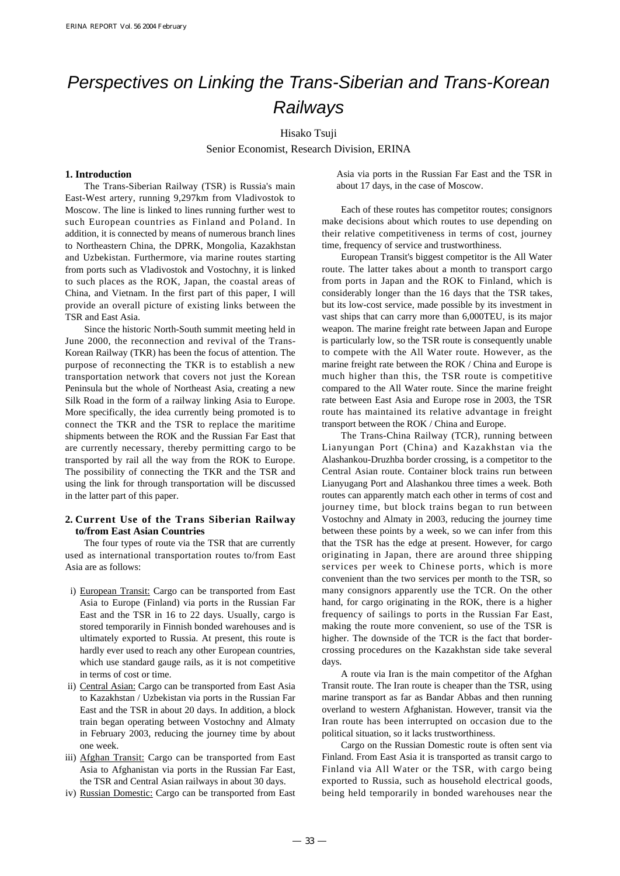# Perspectives on Linking the Trans-Siberian and Trans-Korean **Railways**

## Hisako Tsuji

Senior Economist, Research Division, ERINA

## **1. Introduction**

The Trans-Siberian Railway (TSR) is Russia's main East-West artery, running 9,297km from Vladivostok to Moscow. The line is linked to lines running further west to such European countries as Finland and Poland. In addition, it is connected by means of numerous branch lines to Northeastern China, the DPRK, Mongolia, Kazakhstan and Uzbekistan. Furthermore, via marine routes starting from ports such as Vladivostok and Vostochny, it is linked to such places as the ROK, Japan, the coastal areas of China, and Vietnam. In the first part of this paper, I will provide an overall picture of existing links between the TSR and East Asia.

Since the historic North-South summit meeting held in June 2000, the reconnection and revival of the Trans-Korean Railway (TKR) has been the focus of attention. The purpose of reconnecting the TKR is to establish a new transportation network that covers not just the Korean Peninsula but the whole of Northeast Asia, creating a new Silk Road in the form of a railway linking Asia to Europe. More specifically, the idea currently being promoted is to connect the TKR and the TSR to replace the maritime shipments between the ROK and the Russian Far East that are currently necessary, thereby permitting cargo to be transported by rail all the way from the ROK to Europe. The possibility of connecting the TKR and the TSR and using the link for through transportation will be discussed in the latter part of this paper.

## **2. Current Use of the Trans Siberian Railway to/from East Asian Countries**

The four types of route via the TSR that are currently used as international transportation routes to/from East Asia are as follows:

- i) European Transit: Cargo can be transported from East Asia to Europe (Finland) via ports in the Russian Far East and the TSR in 16 to 22 days. Usually, cargo is stored temporarily in Finnish bonded warehouses and is ultimately exported to Russia. At present, this route is hardly ever used to reach any other European countries, which use standard gauge rails, as it is not competitive in terms of cost or time.
- ii) Central Asian: Cargo can be transported from East Asia to Kazakhstan / Uzbekistan via ports in the Russian Far East and the TSR in about 20 days. In addition, a block train began operating between Vostochny and Almaty in February 2003, reducing the journey time by about one week.
- iii) Afghan Transit: Cargo can be transported from East Asia to Afghanistan via ports in the Russian Far East, the TSR and Central Asian railways in about 30 days.
- iv) Russian Domestic: Cargo can be transported from East

Asia via ports in the Russian Far East and the TSR in about 17 days, in the case of Moscow.

Each of these routes has competitor routes; consignors make decisions about which routes to use depending on their relative competitiveness in terms of cost, journey time, frequency of service and trustworthiness.

European Transit's biggest competitor is the All Water route. The latter takes about a month to transport cargo from ports in Japan and the ROK to Finland, which is considerably longer than the 16 days that the TSR takes, but its low-cost service, made possible by its investment in vast ships that can carry more than 6,000TEU, is its major weapon. The marine freight rate between Japan and Europe is particularly low, so the TSR route is consequently unable to compete with the All Water route. However, as the marine freight rate between the ROK / China and Europe is much higher than this, the TSR route is competitive compared to the All Water route. Since the marine freight rate between East Asia and Europe rose in 2003, the TSR route has maintained its relative advantage in freight transport between the ROK / China and Europe.

The Trans-China Railway (TCR), running between Lianyungan Port (China) and Kazakhstan via the Alashankou-Druzhba border crossing, is a competitor to the Central Asian route. Container block trains run between Lianyugang Port and Alashankou three times a week. Both routes can apparently match each other in terms of cost and journey time, but block trains began to run between Vostochny and Almaty in 2003, reducing the journey time between these points by a week, so we can infer from this that the TSR has the edge at present. However, for cargo originating in Japan, there are around three shipping services per week to Chinese ports, which is more convenient than the two services per month to the TSR, so many consignors apparently use the TCR. On the other hand, for cargo originating in the ROK, there is a higher frequency of sailings to ports in the Russian Far East, making the route more convenient, so use of the TSR is higher. The downside of the TCR is the fact that bordercrossing procedures on the Kazakhstan side take several days.

A route via Iran is the main competitor of the Afghan Transit route. The Iran route is cheaper than the TSR, using marine transport as far as Bandar Abbas and then running overland to western Afghanistan. However, transit via the Iran route has been interrupted on occasion due to the political situation, so it lacks trustworthiness.

Cargo on the Russian Domestic route is often sent via Finland. From East Asia it is transported as transit cargo to Finland via All Water or the TSR, with cargo being exported to Russia, such as household electrical goods, being held temporarily in bonded warehouses near the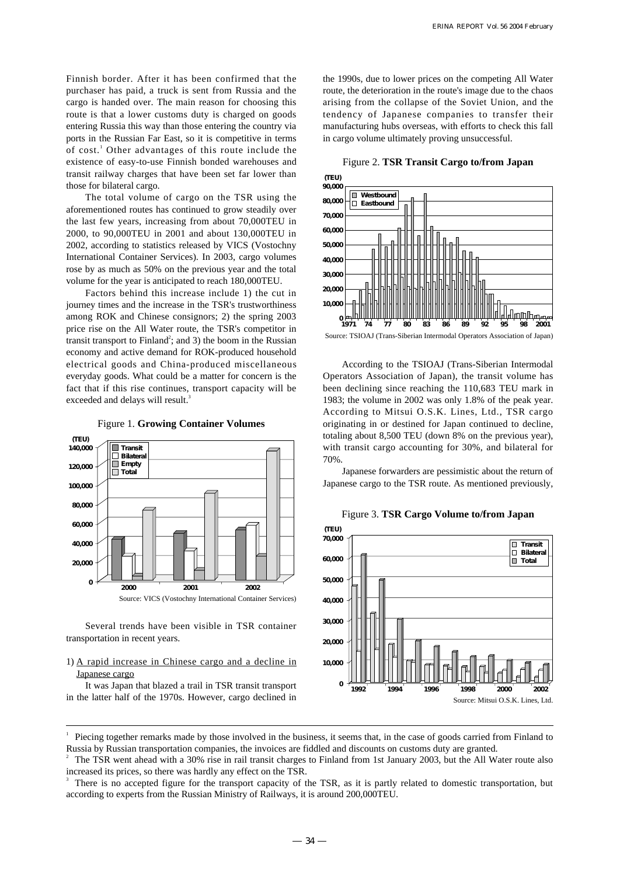Finnish border. After it has been confirmed that the purchaser has paid, a truck is sent from Russia and the cargo is handed over. The main reason for choosing this route is that a lower customs duty is charged on goods entering Russia this way than those entering the country via ports in the Russian Far East, so it is competitive in terms of cost.<sup>1</sup> Other advantages of this route include the existence of easy-to-use Finnish bonded warehouses and transit railway charges that have been set far lower than those for bilateral cargo.

The total volume of cargo on the TSR using the aforementioned routes has continued to grow steadily over the last few years, increasing from about 70,000TEU in 2000, to 90,000TEU in 2001 and about 130,000TEU in 2002, according to statistics released by VICS (Vostochny International Container Services). In 2003, cargo volumes rose by as much as 50% on the previous year and the total volume for the year is anticipated to reach 180,000TEU.

Factors behind this increase include 1) the cut in journey times and the increase in the TSR's trustworthiness among ROK and Chinese consignors; 2) the spring 2003 price rise on the All Water route, the TSR's competitor in transit transport to Finland<sup>2</sup>; and 3) the boom in the Russian economy and active demand for ROK-produced household electrical goods and China-produced miscellaneous everyday goods. What could be a matter for concern is the fact that if this rise continues, transport capacity will be exceeded and delays will result.<sup>3</sup>



Figure 1. **Growing Container Volumes**

Several trends have been visible in TSR container transportation in recent years.

## 1) A rapid increase in Chinese cargo and a decline in Japanese cargo

It was Japan that blazed a trail in TSR transit transport in the latter half of the 1970s. However, cargo declined in the 1990s, due to lower prices on the competing All Water route, the deterioration in the route's image due to the chaos arising from the collapse of the Soviet Union, and the tendency of Japanese companies to transfer their manufacturing hubs overseas, with efforts to check this fall in cargo volume ultimately proving unsuccessful.

## Figure 2. **TSR Transit Cargo to/from Japan**



Source: TSIOAJ (Trans-Siberian Intermodal Operators Association of Japan)

According to the TSIOAJ (Trans-Siberian Intermodal Operators Association of Japan), the transit volume has been declining since reaching the 110,683 TEU mark in 1983; the volume in 2002 was only 1.8% of the peak year. According to Mitsui O.S.K. Lines, Ltd., TSR cargo originating in or destined for Japan continued to decline, totaling about 8,500 TEU (down 8% on the previous year), with transit cargo accounting for 30%, and bilateral for 70%.

Japanese forwarders are pessimistic about the return of Japanese cargo to the TSR route. As mentioned previously,



Figure 3. **TSR Cargo Volume to/from Japan**

<sup>1</sup> Piecing together remarks made by those involved in the business, it seems that, in the case of goods carried from Finland to Russia by Russian transportation companies, the invoices are fiddled and discounts on customs duty are granted.

<sup>2</sup> The TSR went ahead with a 30% rise in rail transit charges to Finland from 1st January 2003, but the All Water route also increased its prices, so there was hardly any effect on the TSR.

<sup>3</sup> There is no accepted figure for the transport capacity of the TSR, as it is partly related to domestic transportation, but according to experts from the Russian Ministry of Railways, it is around 200,000TEU.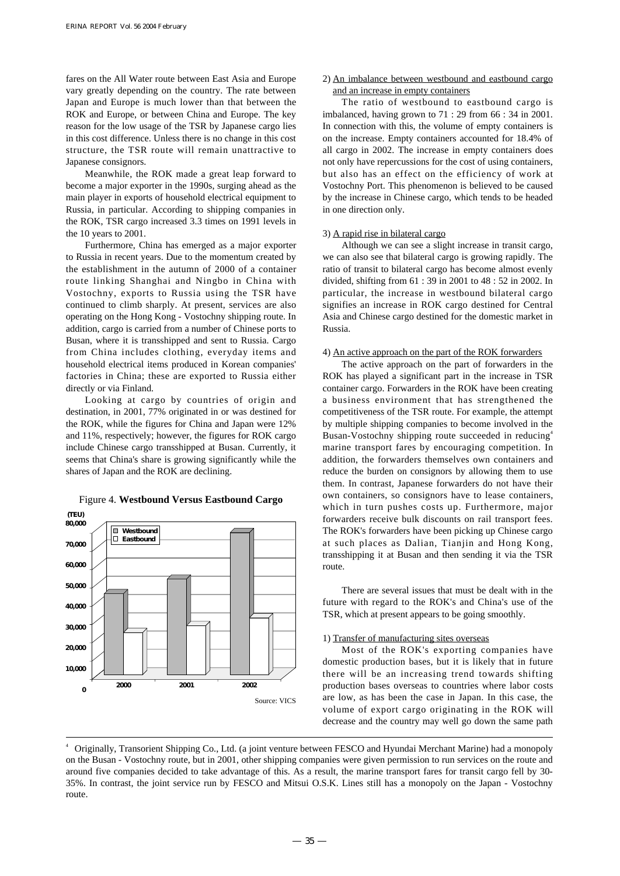fares on the All Water route between East Asia and Europe vary greatly depending on the country. The rate between Japan and Europe is much lower than that between the ROK and Europe, or between China and Europe. The key reason for the low usage of the TSR by Japanese cargo lies in this cost difference. Unless there is no change in this cost structure, the TSR route will remain unattractive to Japanese consignors.

Meanwhile, the ROK made a great leap forward to become a major exporter in the 1990s, surging ahead as the main player in exports of household electrical equipment to Russia, in particular. According to shipping companies in the ROK, TSR cargo increased 3.3 times on 1991 levels in the 10 years to 2001.

Furthermore, China has emerged as a major exporter to Russia in recent years. Due to the momentum created by the establishment in the autumn of 2000 of a container route linking Shanghai and Ningbo in China with Vostochny, exports to Russia using the TSR have continued to climb sharply. At present, services are also operating on the Hong Kong - Vostochny shipping route. In addition, cargo is carried from a number of Chinese ports to Busan, where it is transshipped and sent to Russia. Cargo from China includes clothing, everyday items and household electrical items produced in Korean companies' factories in China; these are exported to Russia either directly or via Finland.

Looking at cargo by countries of origin and destination, in 2001, 77% originated in or was destined for the ROK, while the figures for China and Japan were 12% and 11%, respectively; however, the figures for ROK cargo include Chinese cargo transshipped at Busan. Currently, it seems that China's share is growing significantly while the shares of Japan and the ROK are declining.



## Figure 4. **Westbound Versus Eastbound Cargo**

## 2) An imbalance between westbound and eastbound cargo and an increase in empty containers

The ratio of westbound to eastbound cargo is imbalanced, having grown to 71 : 29 from 66 : 34 in 2001. In connection with this, the volume of empty containers is on the increase. Empty containers accounted for 18.4% of all cargo in 2002. The increase in empty containers does not only have repercussions for the cost of using containers, but also has an effect on the efficiency of work at Vostochny Port. This phenomenon is believed to be caused by the increase in Chinese cargo, which tends to be headed in one direction only.

#### 3) A rapid rise in bilateral cargo

Although we can see a slight increase in transit cargo, we can also see that bilateral cargo is growing rapidly. The ratio of transit to bilateral cargo has become almost evenly divided, shifting from 61 : 39 in 2001 to 48 : 52 in 2002. In particular, the increase in westbound bilateral cargo signifies an increase in ROK cargo destined for Central Asia and Chinese cargo destined for the domestic market in Russia.

## 4) An active approach on the part of the ROK forwarders

The active approach on the part of forwarders in the ROK has played a significant part in the increase in TSR container cargo. Forwarders in the ROK have been creating a business environment that has strengthened the competitiveness of the TSR route. For example, the attempt by multiple shipping companies to become involved in the Busan-Vostochny shipping route succeeded in reducing<sup>4</sup> marine transport fares by encouraging competition. In addition, the forwarders themselves own containers and reduce the burden on consignors by allowing them to use them. In contrast, Japanese forwarders do not have their own containers, so consignors have to lease containers, which in turn pushes costs up. Furthermore, major forwarders receive bulk discounts on rail transport fees. The ROK's forwarders have been picking up Chinese cargo at such places as Dalian, Tianjin and Hong Kong, transshipping it at Busan and then sending it via the TSR route.

There are several issues that must be dealt with in the future with regard to the ROK's and China's use of the TSR, which at present appears to be going smoothly.

## 1) Transfer of manufacturing sites overseas

Most of the ROK's exporting companies have domestic production bases, but it is likely that in future there will be an increasing trend towards shifting production bases overseas to countries where labor costs are low, as has been the case in Japan. In this case, the volume of export cargo originating in the ROK will decrease and the country may well go down the same path

<sup>4</sup> Originally, Transorient Shipping Co., Ltd. (a joint venture between FESCO and Hyundai Merchant Marine) had a monopoly on the Busan - Vostochny route, but in 2001, other shipping companies were given permission to run services on the route and around five companies decided to take advantage of this. As a result, the marine transport fares for transit cargo fell by 30- 35%. In contrast, the joint service run by FESCO and Mitsui O.S.K. Lines still has a monopoly on the Japan - Vostochny route.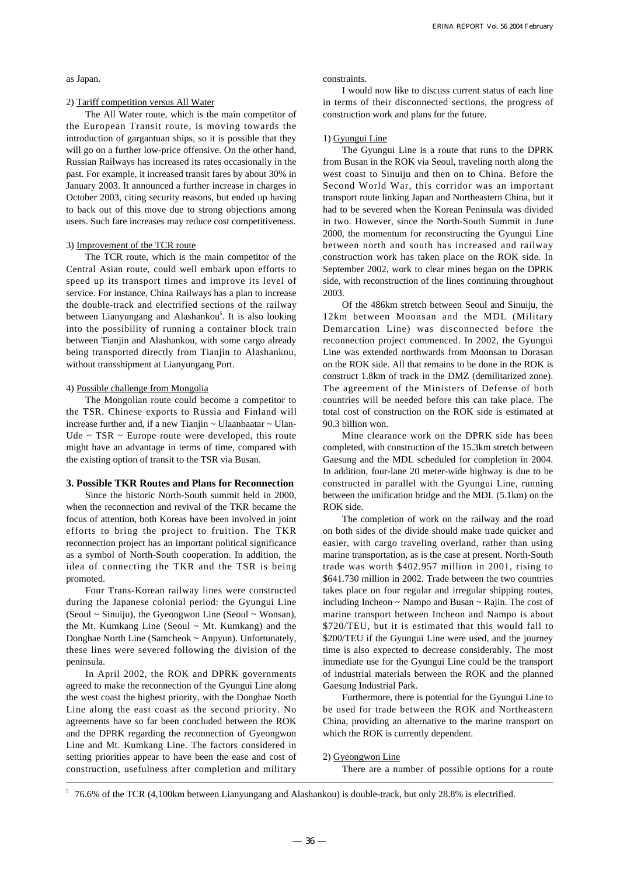as Japan.

#### 2) Tariff competition versus All Water

The All Water route, which is the main competitor of the European Transit route, is moving towards the introduction of gargantuan ships, so it is possible that they will go on a further low-price offensive. On the other hand, Russian Railways has increased its rates occasionally in the past. For example, it increased transit fares by about 30% in January 2003. It announced a further increase in charges in October 2003, citing security reasons, but ended up having to back out of this move due to strong objections among users. Such fare increases may reduce cost competitiveness.

## 3) Improvement of the TCR route

The TCR route, which is the main competitor of the Central Asian route, could well embark upon efforts to speed up its transport times and improve its level of service. For instance, China Railways has a plan to increase the double-track and electrified sections of the railway between Lianyungang and Alashankou<sup>5</sup>. It is also looking into the possibility of running a container block train between Tianjin and Alashankou, with some cargo already being transported directly from Tianjin to Alashankou, without transshipment at Lianyungang Port.

#### 4) Possible challenge from Mongolia

The Mongolian route could become a competitor to the TSR. Chinese exports to Russia and Finland will increase further and, if a new Tianjin ~ Ulaanbaatar ~ Ulan-Ude  $\sim$  TSR  $\sim$  Europe route were developed, this route might have an advantage in terms of time, compared with the existing option of transit to the TSR via Busan.

#### **3. Possible TKR Routes and Plans for Reconnection**

Since the historic North-South summit held in 2000, when the reconnection and revival of the TKR became the focus of attention, both Koreas have been involved in joint efforts to bring the project to fruition. The TKR reconnection project has an important political significance as a symbol of North-South cooperation. In addition, the idea of connecting the TKR and the TSR is being promoted.

Four Trans-Korean railway lines were constructed during the Japanese colonial period: the Gyungui Line (Seoul ~ Sinuiju), the Gyeongwon Line (Seoul ~ Wonsan), the Mt. Kumkang Line (Seoul  $\sim$  Mt. Kumkang) and the Donghae North Line (Samcheok ~ Anpyun). Unfortunately, these lines were severed following the division of the peninsula.

In April 2002, the ROK and DPRK governments agreed to make the reconnection of the Gyungui Line along the west coast the highest priority, with the Donghae North Line along the east coast as the second priority. No agreements have so far been concluded between the ROK and the DPRK regarding the reconnection of Gyeongwon Line and Mt. Kumkang Line. The factors considered in setting priorities appear to have been the ease and cost of construction, usefulness after completion and military constraints.

I would now like to discuss current status of each line in terms of their disconnected sections, the progress of construction work and plans for the future.

#### 1) Gyungui Line

The Gyungui Line is a route that runs to the DPRK from Busan in the ROK via Seoul, traveling north along the west coast to Sinuiju and then on to China. Before the Second World War, this corridor was an important transport route linking Japan and Northeastern China, but it had to be severed when the Korean Peninsula was divided in two. However, since the North-South Summit in June 2000, the momentum for reconstructing the Gyungui Line between north and south has increased and railway construction work has taken place on the ROK side. In September 2002, work to clear mines began on the DPRK side, with reconstruction of the lines continuing throughout 2003.

Of the 486km stretch between Seoul and Sinuiju, the 12km between Moonsan and the MDL (Military Demarcation Line) was disconnected before the reconnection project commenced. In 2002, the Gyungui Line was extended northwards from Moonsan to Dorasan on the ROK side. All that remains to be done in the ROK is construct 1.8km of track in the DMZ (demilitarized zone). The agreement of the Ministers of Defense of both countries will be needed before this can take place. The total cost of construction on the ROK side is estimated at 90.3 billion won.

Mine clearance work on the DPRK side has been completed, with construction of the 15.3km stretch between Gaesung and the MDL scheduled for completion in 2004. In addition, four-lane 20 meter-wide highway is due to be constructed in parallel with the Gyungui Line, running between the unification bridge and the MDL (5.1km) on the ROK side.

The completion of work on the railway and the road on both sides of the divide should make trade quicker and easier, with cargo traveling overland, rather than using marine transportation, as is the case at present. North-South trade was worth \$402.957 million in 2001, rising to \$641.730 million in 2002. Trade between the two countries takes place on four regular and irregular shipping routes, including Incheon ~ Nampo and Busan ~ Rajin. The cost of marine transport between Incheon and Nampo is about \$720/TEU, but it is estimated that this would fall to \$200/TEU if the Gyungui Line were used, and the journey time is also expected to decrease considerably. The most immediate use for the Gyungui Line could be the transport of industrial materials between the ROK and the planned Gaesung Industrial Park.

Furthermore, there is potential for the Gyungui Line to be used for trade between the ROK and Northeastern China, providing an alternative to the marine transport on which the ROK is currently dependent.

#### 2) Gyeongwon Line

There are a number of possible options for a route

5 76.6% of the TCR (4,100km between Lianyungang and Alashankou) is double-track, but only 28.8% is electrified.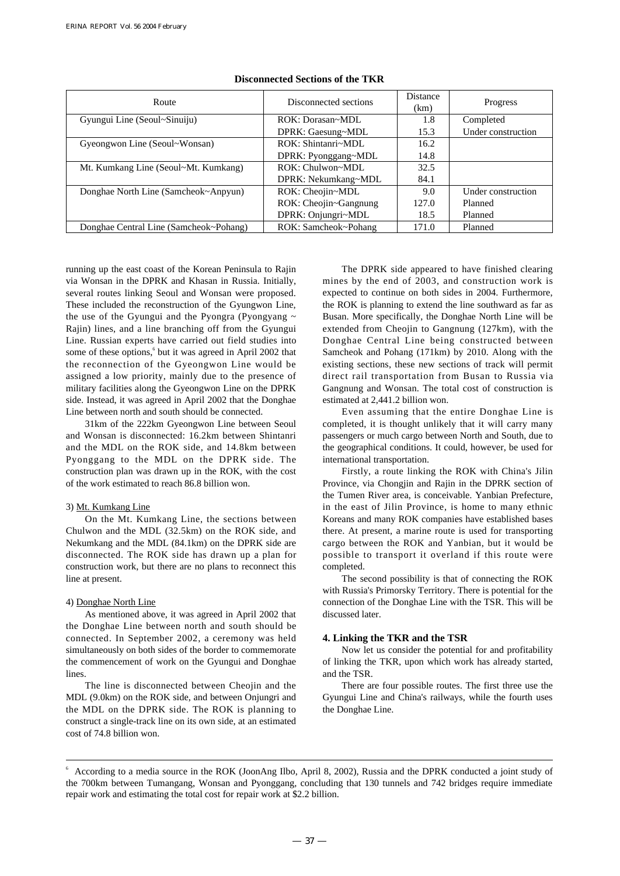| Route                                  | Disconnected sections | <b>Distance</b><br>(km) | Progress           |
|----------------------------------------|-----------------------|-------------------------|--------------------|
| Gyungui Line (Seoul~Sinuiju)           | ROK: Dorasan~MDL      | 1.8                     | Completed          |
|                                        | DPRK: Gaesung~MDL     | 15.3                    | Under construction |
| Gyeongwon Line (Seoul~Wonsan)          | ROK: Shintanri~MDL    | 16.2                    |                    |
|                                        | DPRK: Pyonggang~MDL   | 14.8                    |                    |
| Mt. Kumkang Line (Seoul~Mt. Kumkang)   | ROK: Chulwon~MDL      | 32.5                    |                    |
|                                        | DPRK: Nekumkang~MDL   | 84.1                    |                    |
| Donghae North Line (Samcheok~Anpyun)   | ROK: Cheojin~MDL      | 9.0                     | Under construction |
|                                        | ROK: Cheojin~Gangnung | 127.0                   | Planned            |
|                                        | DPRK: Onjungri~MDL    | 18.5                    | Planned            |
| Donghae Central Line (Samcheok~Pohang) | ROK: Samcheok~Pohang  | 171.0                   | Planned            |

#### **Disconnected Sections of the TKR**

running up the east coast of the Korean Peninsula to Rajin via Wonsan in the DPRK and Khasan in Russia. Initially, several routes linking Seoul and Wonsan were proposed. These included the reconstruction of the Gyungwon Line, the use of the Gyungui and the Pyongra (Pyongyang  $\sim$ Rajin) lines, and a line branching off from the Gyungui Line. Russian experts have carried out field studies into some of these options,<sup>6</sup> but it was agreed in April 2002 that the reconnection of the Gyeongwon Line would be assigned a low priority, mainly due to the presence of military facilities along the Gyeongwon Line on the DPRK side. Instead, it was agreed in April 2002 that the Donghae Line between north and south should be connected.

31km of the 222km Gyeongwon Line between Seoul and Wonsan is disconnected: 16.2km between Shintanri and the MDL on the ROK side, and 14.8km between Pyonggang to the MDL on the DPRK side. The construction plan was drawn up in the ROK, with the cost of the work estimated to reach 86.8 billion won.

#### 3) Mt. Kumkang Line

On the Mt. Kumkang Line, the sections between Chulwon and the MDL (32.5km) on the ROK side, and Nekumkang and the MDL (84.1km) on the DPRK side are disconnected. The ROK side has drawn up a plan for construction work, but there are no plans to reconnect this line at present.

#### 4) Donghae North Line

As mentioned above, it was agreed in April 2002 that the Donghae Line between north and south should be connected. In September 2002, a ceremony was held simultaneously on both sides of the border to commemorate the commencement of work on the Gyungui and Donghae lines.

The line is disconnected between Cheojin and the MDL (9.0km) on the ROK side, and between Onjungri and the MDL on the DPRK side. The ROK is planning to construct a single-track line on its own side, at an estimated cost of 74.8 billion won.

The DPRK side appeared to have finished clearing mines by the end of 2003, and construction work is expected to continue on both sides in 2004. Furthermore, the ROK is planning to extend the line southward as far as Busan. More specifically, the Donghae North Line will be extended from Cheojin to Gangnung (127km), with the Donghae Central Line being constructed between Samcheok and Pohang (171km) by 2010. Along with the existing sections, these new sections of track will permit direct rail transportation from Busan to Russia via Gangnung and Wonsan. The total cost of construction is estimated at 2,441.2 billion won.

Even assuming that the entire Donghae Line is completed, it is thought unlikely that it will carry many passengers or much cargo between North and South, due to the geographical conditions. It could, however, be used for international transportation.

Firstly, a route linking the ROK with China's Jilin Province, via Chongjin and Rajin in the DPRK section of the Tumen River area, is conceivable. Yanbian Prefecture, in the east of Jilin Province, is home to many ethnic Koreans and many ROK companies have established bases there. At present, a marine route is used for transporting cargo between the ROK and Yanbian, but it would be possible to transport it overland if this route were completed.

The second possibility is that of connecting the ROK with Russia's Primorsky Territory. There is potential for the connection of the Donghae Line with the TSR. This will be discussed later.

#### **4. Linking the TKR and the TSR**

Now let us consider the potential for and profitability of linking the TKR, upon which work has already started, and the TSR.

There are four possible routes. The first three use the Gyungui Line and China's railways, while the fourth uses the Donghae Line.

<sup>6</sup> According to a media source in the ROK (JoonAng Ilbo, April 8, 2002), Russia and the DPRK conducted a joint study of the 700km between Tumangang, Wonsan and Pyonggang, concluding that 130 tunnels and 742 bridges require immediate repair work and estimating the total cost for repair work at \$2.2 billion.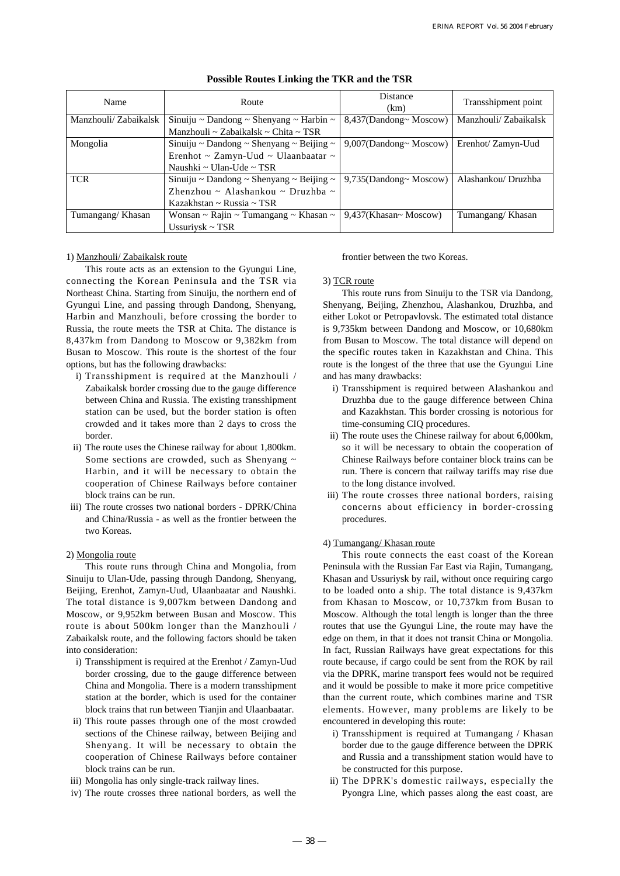| Name                 | Route                                    | <b>Distance</b><br>(km)   | Transshipment point  |
|----------------------|------------------------------------------|---------------------------|----------------------|
| Manzhouli/Zabaikalsk | Sinuiju ~ Dandong ~ Shenyang ~ Harbin ~  | 8,437(Dandong~ Moscow)    | Manzhouli/Zabaikalsk |
|                      | Manzhouli ~ Zabaikalsk ~ Chita ~ TSR     |                           |                      |
| Mongolia             | Sinuiju ~ Dandong ~ Shenyang ~ Beijing ~ | 9,007(Dandong~ Moscow)    | Erenhot/ Zamyn-Uud   |
|                      | Erenhot ~ Zamyn-Uud ~ Ulaanbaatar ~      |                           |                      |
|                      | Naushki ~ Ulan-Ude ~ TSR                 |                           |                      |
| <b>TCR</b>           | Sinuiju ~ Dandong ~ Shenyang ~ Beijing ~ | $9,735$ (Dandong~ Moscow) | Alashankou/ Druzhba  |
|                      | Zhenzhou ~ Alashankou ~ Druzhba ~        |                           |                      |
|                      | Kazakhstan ~ Russia ~ TSR                |                           |                      |
| Tumangang/Khasan     | Wonsan ~ Rajin ~ Tumangang ~ Khasan ~    | 9,437(Khasan~ Moscow)     | Tumangang/Khasan     |
|                      | Ussuriysk ~ $TSR$                        |                           |                      |

## **Possible Routes Linking the TKR and the TSR**

## 1) Manzhouli/ Zabaikalsk route

This route acts as an extension to the Gyungui Line, connecting the Korean Peninsula and the TSR via Northeast China. Starting from Sinuiju, the northern end of Gyungui Line, and passing through Dandong, Shenyang, Harbin and Manzhouli, before crossing the border to Russia, the route meets the TSR at Chita. The distance is 8,437km from Dandong to Moscow or 9,382km from Busan to Moscow. This route is the shortest of the four options, but has the following drawbacks:

- i) Transshipment is required at the Manzhouli / Zabaikalsk border crossing due to the gauge difference between China and Russia. The existing transshipment station can be used, but the border station is often crowded and it takes more than 2 days to cross the border.
- ii) The route uses the Chinese railway for about 1,800km. Some sections are crowded, such as Shenyang ~ Harbin, and it will be necessary to obtain the cooperation of Chinese Railways before container block trains can be run.
- iii) The route crosses two national borders DPRK/China and China/Russia - as well as the frontier between the two Koreas.

## 2) Mongolia route

This route runs through China and Mongolia, from Sinuiju to Ulan-Ude, passing through Dandong, Shenyang, Beijing, Erenhot, Zamyn-Uud, Ulaanbaatar and Naushki. The total distance is 9,007km between Dandong and Moscow, or 9,952km between Busan and Moscow. This route is about 500km longer than the Manzhouli / Zabaikalsk route, and the following factors should be taken into consideration:

- i) Transshipment is required at the Erenhot / Zamyn-Uud border crossing, due to the gauge difference between China and Mongolia. There is a modern transshipment station at the border, which is used for the container block trains that run between Tianjin and Ulaanbaatar.
- ii) This route passes through one of the most crowded sections of the Chinese railway, between Beijing and Shenyang. It will be necessary to obtain the cooperation of Chinese Railways before container block trains can be run.
- iii) Mongolia has only single-track railway lines.
- iv) The route crosses three national borders, as well the

frontier between the two Koreas.

#### 3) TCR route

This route runs from Sinuiju to the TSR via Dandong, Shenyang, Beijing, Zhenzhou, Alashankou, Druzhba, and either Lokot or Petropavlovsk. The estimated total distance is 9,735km between Dandong and Moscow, or 10,680km from Busan to Moscow. The total distance will depend on the specific routes taken in Kazakhstan and China. This route is the longest of the three that use the Gyungui Line and has many drawbacks:

- i) Transshipment is required between Alashankou and Druzhba due to the gauge difference between China and Kazakhstan. This border crossing is notorious for time-consuming CIQ procedures.
- ii) The route uses the Chinese railway for about 6,000km, so it will be necessary to obtain the cooperation of Chinese Railways before container block trains can be run. There is concern that railway tariffs may rise due to the long distance involved.
- iii) The route crosses three national borders, raising concerns about efficiency in border-crossing procedures.

#### 4) Tumangang/ Khasan route

This route connects the east coast of the Korean Peninsula with the Russian Far East via Rajin, Tumangang, Khasan and Ussuriysk by rail, without once requiring cargo to be loaded onto a ship. The total distance is 9,437km from Khasan to Moscow, or 10,737km from Busan to Moscow. Although the total length is longer than the three routes that use the Gyungui Line, the route may have the edge on them, in that it does not transit China or Mongolia. In fact, Russian Railways have great expectations for this route because, if cargo could be sent from the ROK by rail via the DPRK, marine transport fees would not be required and it would be possible to make it more price competitive than the current route, which combines marine and TSR elements. However, many problems are likely to be encountered in developing this route:

- i) Transshipment is required at Tumangang / Khasan border due to the gauge difference between the DPRK and Russia and a transshipment station would have to be constructed for this purpose.
- ii) The DPRK's domestic railways, especially the Pyongra Line, which passes along the east coast, are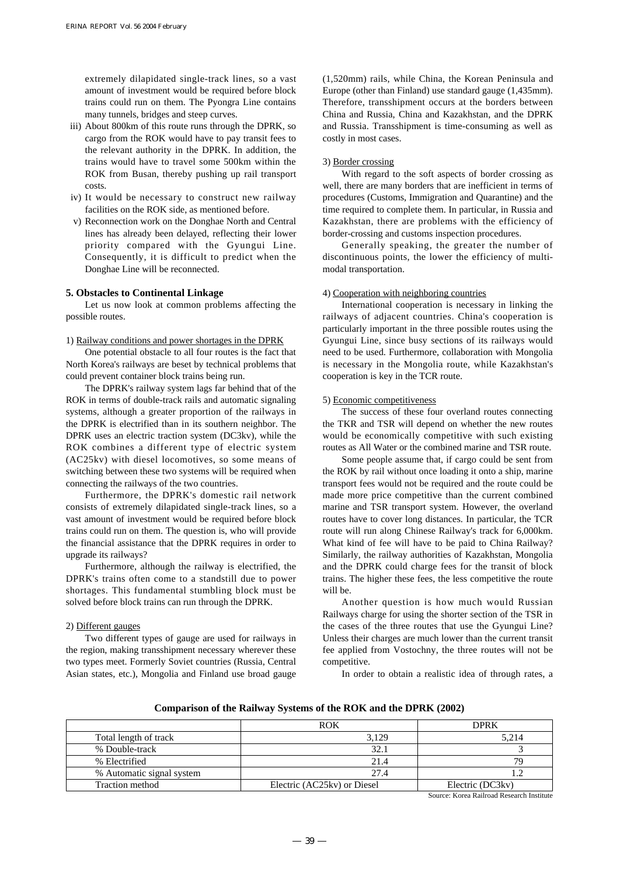extremely dilapidated single-track lines, so a vast amount of investment would be required before block trains could run on them. The Pyongra Line contains many tunnels, bridges and steep curves.

- iii) About 800km of this route runs through the DPRK, so cargo from the ROK would have to pay transit fees to the relevant authority in the DPRK. In addition, the trains would have to travel some 500km within the ROK from Busan, thereby pushing up rail transport costs.
- iv) It would be necessary to construct new railway facilities on the ROK side, as mentioned before.
- v) Reconnection work on the Donghae North and Central lines has already been delayed, reflecting their lower priority compared with the Gyungui Line. Consequently, it is difficult to predict when the Donghae Line will be reconnected.

#### **5. Obstacles to Continental Linkage**

Let us now look at common problems affecting the possible routes.

1) Railway conditions and power shortages in the DPRK

One potential obstacle to all four routes is the fact that North Korea's railways are beset by technical problems that could prevent container block trains being run.

The DPRK's railway system lags far behind that of the ROK in terms of double-track rails and automatic signaling systems, although a greater proportion of the railways in the DPRK is electrified than in its southern neighbor. The DPRK uses an electric traction system (DC3kv), while the ROK combines a different type of electric system (AC25kv) with diesel locomotives, so some means of switching between these two systems will be required when connecting the railways of the two countries.

Furthermore, the DPRK's domestic rail network consists of extremely dilapidated single-track lines, so a vast amount of investment would be required before block trains could run on them. The question is, who will provide the financial assistance that the DPRK requires in order to upgrade its railways?

Furthermore, although the railway is electrified, the DPRK's trains often come to a standstill due to power shortages. This fundamental stumbling block must be solved before block trains can run through the DPRK.

#### 2) Different gauges

Two different types of gauge are used for railways in the region, making transshipment necessary wherever these two types meet. Formerly Soviet countries (Russia, Central Asian states, etc.), Mongolia and Finland use broad gauge (1,520mm) rails, while China, the Korean Peninsula and Europe (other than Finland) use standard gauge (1,435mm). Therefore, transshipment occurs at the borders between China and Russia, China and Kazakhstan, and the DPRK and Russia. Transshipment is time-consuming as well as costly in most cases.

#### 3) Border crossing

With regard to the soft aspects of border crossing as well, there are many borders that are inefficient in terms of procedures (Customs, Immigration and Quarantine) and the time required to complete them. In particular, in Russia and Kazakhstan, there are problems with the efficiency of border-crossing and customs inspection procedures.

Generally speaking, the greater the number of discontinuous points, the lower the efficiency of multimodal transportation.

#### 4) Cooperation with neighboring countries

International cooperation is necessary in linking the railways of adjacent countries. China's cooperation is particularly important in the three possible routes using the Gyungui Line, since busy sections of its railways would need to be used. Furthermore, collaboration with Mongolia is necessary in the Mongolia route, while Kazakhstan's cooperation is key in the TCR route.

### 5) Economic competitiveness

The success of these four overland routes connecting the TKR and TSR will depend on whether the new routes would be economically competitive with such existing routes as All Water or the combined marine and TSR route.

Some people assume that, if cargo could be sent from the ROK by rail without once loading it onto a ship, marine transport fees would not be required and the route could be made more price competitive than the current combined marine and TSR transport system. However, the overland routes have to cover long distances. In particular, the TCR route will run along Chinese Railway's track for 6,000km. What kind of fee will have to be paid to China Railway? Similarly, the railway authorities of Kazakhstan, Mongolia and the DPRK could charge fees for the transit of block trains. The higher these fees, the less competitive the route will be.

Another question is how much would Russian Railways charge for using the shorter section of the TSR in the cases of the three routes that use the Gyungui Line? Unless their charges are much lower than the current transit fee applied from Vostochny, the three routes will not be competitive.

In order to obtain a realistic idea of through rates, a

**Comparison of the Railway Systems of the ROK and the DPRK (2002)**

|                           | <b>ROK</b>                  | <b>DPRK</b>      |
|---------------------------|-----------------------------|------------------|
| Total length of track     | 3.129                       | 5.214            |
| % Double-track            | 32.1                        |                  |
| % Electrified             | 21.4                        | 79               |
| % Automatic signal system | 27.4                        |                  |
| Traction method           | Electric (AC25kv) or Diesel | Electric (DC3kv) |

Source: Korea Railroad Research Institute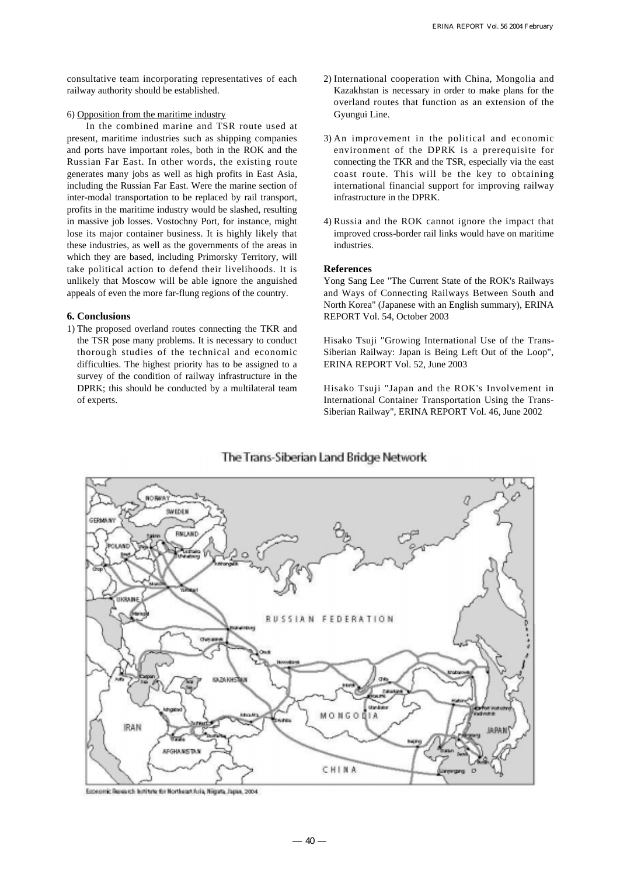consultative team incorporating representatives of each railway authority should be established.

#### 6) Opposition from the maritime industry

In the combined marine and TSR route used at present, maritime industries such as shipping companies and ports have important roles, both in the ROK and the Russian Far East. In other words, the existing route generates many jobs as well as high profits in East Asia, including the Russian Far East. Were the marine section of inter-modal transportation to be replaced by rail transport, profits in the maritime industry would be slashed, resulting in massive job losses. Vostochny Port, for instance, might lose its major container business. It is highly likely that these industries, as well as the governments of the areas in which they are based, including Primorsky Territory, will take political action to defend their livelihoods. It is unlikely that Moscow will be able ignore the anguished appeals of even the more far-flung regions of the country.

## **6. Conclusions**

1) The proposed overland routes connecting the TKR and the TSR pose many problems. It is necessary to conduct thorough studies of the technical and economic difficulties. The highest priority has to be assigned to a survey of the condition of railway infrastructure in the DPRK; this should be conducted by a multilateral team of experts.

- 2) International cooperation with China, Mongolia and Kazakhstan is necessary in order to make plans for the overland routes that function as an extension of the Gyungui Line.
- 3) An improvement in the political and economic environment of the DPRK is a prerequisite for connecting the TKR and the TSR, especially via the east coast route. This will be the key to obtaining international financial support for improving railway infrastructure in the DPRK.
- 4) Russia and the ROK cannot ignore the impact that improved cross-border rail links would have on maritime industries.

## **References**

Yong Sang Lee "The Current State of the ROK's Railways and Ways of Connecting Railways Between South and North Korea" (Japanese with an English summary), ERINA REPORT Vol. 54, October 2003

Hisako Tsuji "Growing International Use of the Trans-Siberian Railway: Japan is Being Left Out of the Loop", ERINA REPORT Vol. 52, June 2003

Hisako Tsuji "Japan and the ROK's Involvement in International Container Transportation Using the Trans-Siberian Railway", ERINA REPORT Vol. 46, June 2002



# The Trans-Siberian Land Bridge Network

Economic Research Institute for Northeast Asia, Nigata, Japan, 2004.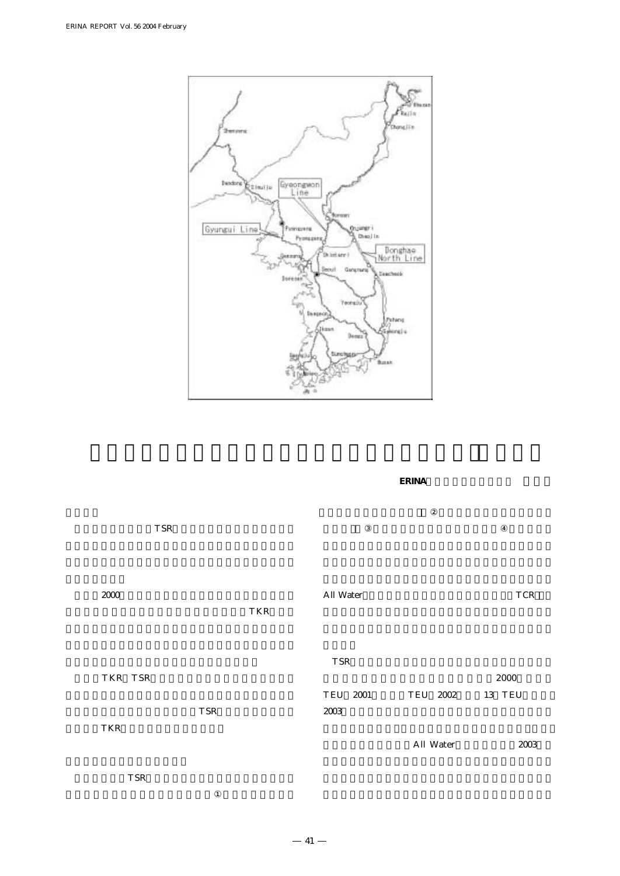

**ERINA** 

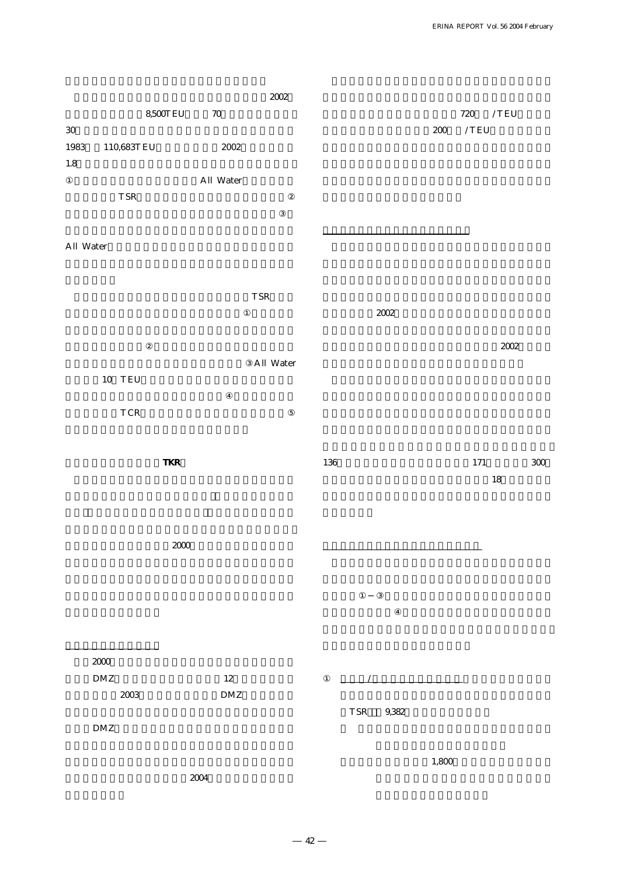